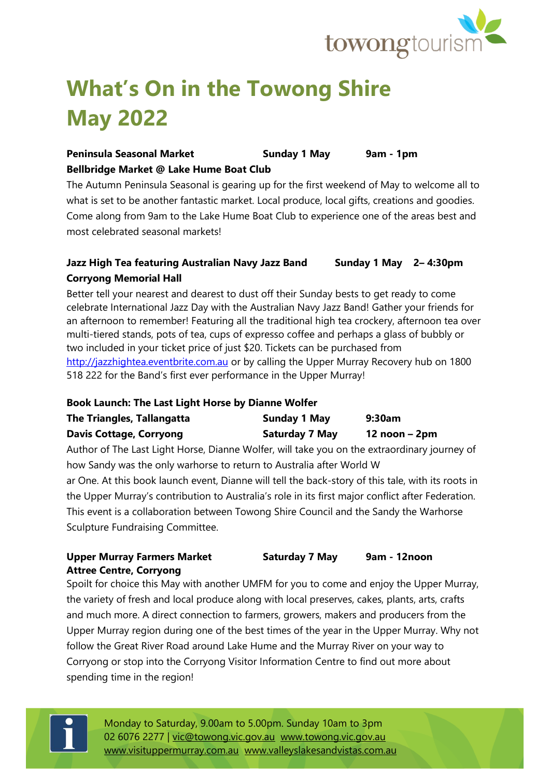

# **What's On in the Towong Shire May 2022**

### **Peninsula Seasonal Market Sunday 1 May 9am - 1pm Bellbridge Market @ Lake Hume Boat Club**

The Autumn Peninsula Seasonal is gearing up for the first weekend of May to welcome all to what is set to be another fantastic market. Local produce, local gifts, creations and goodies. Come along from 9am to the Lake Hume Boat Club to experience one of the areas best and most celebrated seasonal markets!

### **Jazz High Tea featuring Australian Navy Jazz Band Sunday 1 May 2– 4:30pm Corryong Memorial Hall**

Better tell your nearest and dearest to dust off their Sunday bests to get ready to come celebrate International Jazz Day with the Australian Navy Jazz Band! Gather your friends for an afternoon to remember! Featuring all the traditional high tea crockery, afternoon tea over multi-tiered stands, pots of tea, cups of expresso coffee and perhaps a glass of bubbly or two included in your ticket price of just \$20. Tickets can be purchased from [http://jazzhightea.eventbrite.com.au](http://jazzhightea.eventbrite.com.au/) or by calling the Upper Murray Recovery hub on 1800 518 222 for the Band's first ever performance in the Upper Murray!

#### **Book Launch: The Last Light Horse by Dianne Wolfer**

| The Triangles, Tallangatta     | <b>Sunday 1 May</b>   | 9:30am          |
|--------------------------------|-----------------------|-----------------|
| <b>Davis Cottage, Corryong</b> | <b>Saturday 7 May</b> | $12$ noon – 2pm |

Author of The Last Light Horse, Dianne Wolfer, will take you on the extraordinary journey of how Sandy was the only warhorse to return to Australia after World W

ar One. At this book launch event, Dianne will tell the back-story of this tale, with its roots in the Upper Murray's contribution to Australia's role in its first major conflict after Federation. This event is a collaboration between Towong Shire Council and the Sandy the Warhorse Sculpture Fundraising Committee.

#### **Upper Murray Farmers Market Saturday 7 May 9am - 12noon Attree Centre, Corryong**

Spoilt for choice this May with another UMFM for you to come and enjoy the Upper Murray, the variety of fresh and local produce along with local preserves, cakes, plants, arts, crafts and much more. A direct connection to farmers, growers, makers and producers from the Upper Murray region during one of the best times of the year in the Upper Murray. Why not follow the Great River Road around Lake Hume and the Murray River on your way to Corryong or stop into the Corryong Visitor Information Centre to find out more about spending time in the region!



Monday to Saturday, 9.00am to 5.00pm. Sunday 10am to 3pm 02 6076 2277 | [vic@towong.vic.gov.au](mailto:vic@towong.vic.gov.au) [www.towong.vic.gov.au](http://www.towong.vic.gov.au/) [www.visituppermurray.com.au](http://www.visituppermurray.com.au/) [www.valleyslakesandvistas.com.au](http://www.valleyslakesandvistas.com.au/)